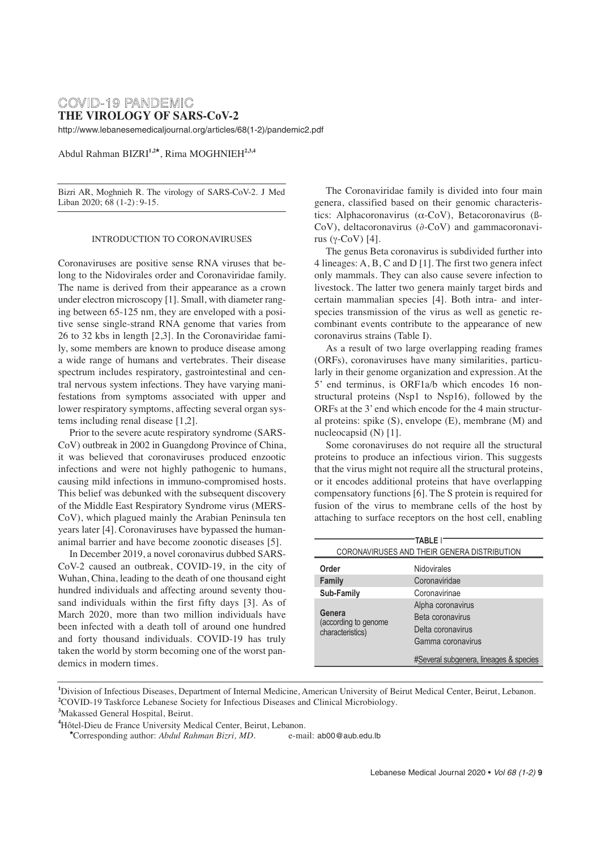# COVID-19 PANDEMIC **THE VIROLOGY OF SARS-CoV-2**

http://www.lebanesemedicaljournal.org/articles/68(1-2)/pandemic2.pdf

Abdul Rahman BIZRI**1,2\***, Rima MOGHNIEH**2,3,4**

Bizri AR, Moghnieh R. The virology of SARS-CoV-2. J Med Liban 2020; 68 (1-2) : 9-15.

### INTRODUCTION TO CORONAVIRUSES

Coronaviruses are positive sense RNA viruses that belong to the Nidovirales order and Coronaviridae family. The name is derived from their appearance as a crown under electron microscopy [1]. Small, with diameter ranging between 65-125 nm, they are enveloped with a positive sense single-strand RNA genome that varies from 26 to 32 kbs in length [2,3]. In the Coronaviridae family, some members are known to produce disease among a wide range of humans and vertebrates. Their disease spectrum includes respiratory, gastrointestinal and central nervous system infections. They have varying manifestations from symptoms associated with upper and lower respiratory symptoms, affecting several organ systems including renal disease [1,2].

Prior to the severe acute respiratory syndrome (SARS-CoV) outbreak in 2002 in Guangdong Province of China, it was believed that coronaviruses produced enzootic infections and were not highly pathogenic to humans, causing mild infections in immuno-compromised hosts. This belief was debunked with the subsequent discovery of the Middle East Respiratory Syndrome virus (MERS-CoV), which plagued mainly the Arabian Peninsula ten years later [4]. Coronaviruses have bypassed the humananimal barrier and have become zoonotic diseases [5].

In December 2019, a novel coronavirus dubbed SARS-CoV-2 caused an outbreak, COVID-19, in the city of Wuhan, China, leading to the death of one thousand eight hundred individuals and affecting around seventy thousand individuals within the first fifty days [3]. As of March 2020, more than two million individuals have been infected with a death toll of around one hundred and forty thousand individuals. COVID-19 has truly taken the world by storm becoming one of the worst pandemics in modern times.

The Coronaviridae family is divided into four main genera, classified based on their genomic characteristics: Alphacoronavirus (α-CoV), Betacoronavirus (ß-CoV), deltacoronavirus (∂-CoV) and gammacoronavirus (γ-CoV) [4].

The genus Beta coronavirus is subdivided further into 4 lineages: A, B, C and D [1]. The first two genera infect only mammals. They can also cause severe infection to livestock. The latter two genera mainly target birds and certain mammalian species [4]. Both intra- and interspecies transmission of the virus as well as genetic recombinant events contribute to the appearance of new coronavirus strains (Table I).

As a result of two large overlapping reading frames (ORFs), coronaviruses have many similarities, particularly in their genome organization and expression. At the 5' end terminus, is ORF1a/b which encodes 16 nonstructural proteins (Nsp1 to Nsp16), followed by the ORFs at the 3' end which encode for the 4 main structural proteins: spike (S), envelope (E), membrane (M) and nucleocapsid (N) [1].

Some coronaviruses do not require all the structural proteins to produce an infectious virion. This suggests that the virus might not require all the structural proteins, or it encodes additional proteins that have overlapping compensatory functions [6]. The S protein is required for fusion of the virus to membrane cells of the host by attaching to surface receptors on the host cell, enabling

| TABLE I'<br>CORONAVIRUSES AND THEIR GENERA DISTRIBUTION |                                        |  |  |  |  |
|---------------------------------------------------------|----------------------------------------|--|--|--|--|
|                                                         |                                        |  |  |  |  |
| Order                                                   | Nidovirales                            |  |  |  |  |
| Family                                                  | Coronaviridae                          |  |  |  |  |
| Sub-Family                                              | Coronavirinae                          |  |  |  |  |
|                                                         | Alpha coronavirus                      |  |  |  |  |
| Genera<br>(according to genome                          | Beta coronavirus                       |  |  |  |  |
| characteristics)                                        | Delta coronavirus                      |  |  |  |  |
|                                                         | Gamma coronavirus                      |  |  |  |  |
|                                                         | #Several subgenera, lineages & species |  |  |  |  |

**<sup>1</sup>** Division of Infectious Diseases, Department of Internal Medicine, American University of Beirut Medical Center, Beirut, Lebanon. **2** COVID-19 Taskforce Lebanese Society for Infectious Diseases and Clinical Microbiology.

**<sup>3</sup>** Makassed General Hospital, Beirut.

**<sup>4</sup>** Hôtel-Dieu de France University Medical Center, Beirut, Lebanon.

<sup>\*</sup>Corresponding author: *Abdul Rahman Bizri, MD.* e-mail: ab00@aub.edu.lb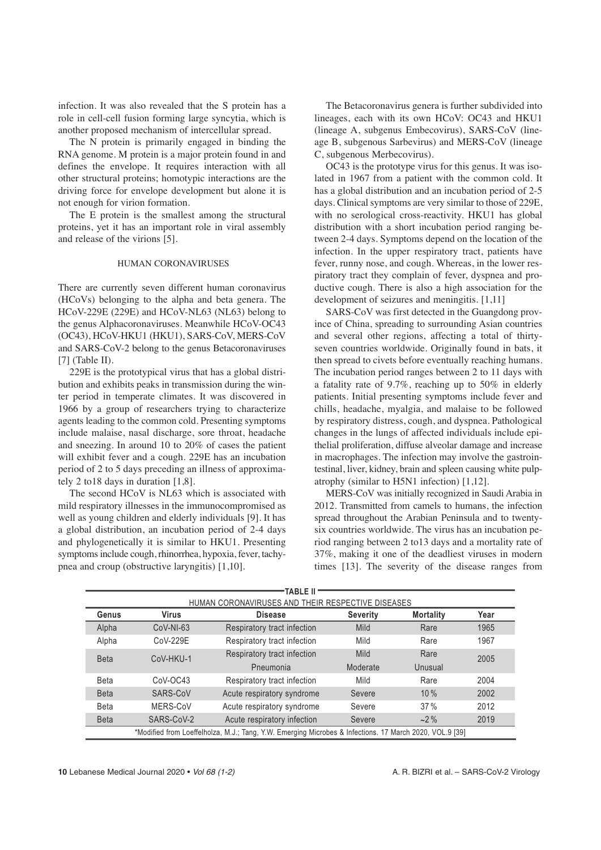infection. It was also revealed that the S protein has a role in cell-cell fusion forming large syncytia, which is another proposed mechanism of intercellular spread.

The N protein is primarily engaged in binding the RNA genome. M protein is a major protein found in and defines the envelope. It requires interaction with all other structural proteins; homotypic interactions are the driving force for envelope development but alone it is not enough for virion formation.

The E protein is the smallest among the structural proteins, yet it has an important role in viral assembly and release of the virions [5].

### HUMAN CORONAVIRUSES

There are currently seven different human coronavirus (HCoVs) belonging to the alpha and beta genera. The HCoV-229E (229E) and HCoV-NL63 (NL63) belong to the genus Alphacoronaviruses. Meanwhile HCoV-OC43 (OC43), HCoV-HKU1 (HKU1), SARS-CoV, MERS-CoV and SARS-CoV-2 belong to the genus Betacoronaviruses  $[7]$  (Table II).

229E is the prototypical virus that has a global distribution and exhibits peaks in transmission during the winter period in temperate climates. It was discovered in 1966 by a group of researchers trying to characterize agents leading to the common cold. Presenting symptoms include malaise, nasal discharge, sore throat, headache and sneezing. In around 10 to 20% of cases the patient will exhibit fever and a cough. 229E has an incubation period of 2 to 5 days preceding an illness of approximately 2 to18 days in duration [1,8].

The second HCoV is NL63 which is associated with mild respiratory illnesses in the immunocompromised as well as young children and elderly individuals [9]. It has a global distribution, an incubation period of 2-4 days and phylogenetically it is similar to HKU1. Presenting symptoms include cough, rhinorrhea, hypoxia, fever, tachypnea and croup (obstructive laryngitis) [1,10].

The Betacoronavirus genera is further subdivided into lineages, each with its own HCoV: OC43 and HKU1 (lineage A, subgenus Embecovirus), SARS-CoV (lineage B, subgenous Sarbevirus) and MERS-CoV (lineage C, subgenous Merbecovirus).

OC43 is the prototype virus for this genus. It was isolated in 1967 from a patient with the common cold. It has a global distribution and an incubation period of 2-5 days. Clinical symptoms are very similar to those of 229E, with no serological cross-reactivity. HKU1 has global distribution with a short incubation period ranging between 2-4 days. Symptoms depend on the location of the infection. In the upper respiratory tract, patients have fever, runny nose, and cough. Whereas, in the lower respiratory tract they complain of fever, dyspnea and productive cough. There is also a high association for the development of seizures and meningitis. [1,11]

SARS-CoV was first detected in the Guangdong province of China, spreading to surrounding Asian countries and several other regions, affecting a total of thirtyseven countries worldwide. Originally found in bats, it then spread to civets before eventually reaching humans. The incubation period ranges between 2 to 11 days with a fatality rate of 9.7%, reaching up to 50% in elderly patients. Initial presenting symptoms include fever and chills, headache, myalgia, and malaise to be followed by respiratory distress, cough, and dyspnea. Pathological changes in the lungs of affected individuals include epithelial proliferation, diffuse alveolar damage and increase in macrophages. The infection may involve the gastrointestinal, liver, kidney, brain and spleen causing white pulpatrophy (similar to H5N1 infection) [1,12].

MERS-CoV was initially recognized in Saudi Arabia in 2012. Transmitted from camels to humans, the infection spread throughout the Arabian Peninsula and to twentysix countries worldwide. The virus has an incubation period ranging between 2 to13 days and a mortality rate of 37%, making it one of the deadliest viruses in modern times [13]. The severity of the disease ranges from

| TABLE II                                                                                                |              |                             |                 |                  |      |  |  |
|---------------------------------------------------------------------------------------------------------|--------------|-----------------------------|-----------------|------------------|------|--|--|
| HUMAN CORONAVIRUSES AND THEIR RESPECTIVE DISEASES                                                       |              |                             |                 |                  |      |  |  |
| Genus                                                                                                   | Virus        | <b>Disease</b>              | <b>Severity</b> | <b>Mortality</b> | Year |  |  |
| Alpha                                                                                                   | $CoV-NI-63$  | Respiratory tract infection | <b>Mild</b>     | Rare             | 1965 |  |  |
| Alpha                                                                                                   | $C_0V-229F$  | Respiratory tract infection | Mild            | Rare             | 1967 |  |  |
| <b>Beta</b><br>CoV-HKU-1                                                                                |              | Respiratory tract infection | <b>Mild</b>     | Rare             | 2005 |  |  |
|                                                                                                         |              | Pneumonia                   | Moderate        | Unusual          |      |  |  |
| <b>Beta</b>                                                                                             | $C_0V$ -OC43 | Respiratory tract infection | Mild            | Rare             | 2004 |  |  |
| <b>Beta</b>                                                                                             | SARS-CoV     | Acute respiratory syndrome  | Severe          | 10%              | 2002 |  |  |
| <b>Beta</b>                                                                                             | MERS-CoV     | Acute respiratory syndrome  | Severe          | 37%              | 2012 |  |  |
| <b>Beta</b>                                                                                             | SARS-CoV-2   | Acute respiratory infection | Severe          | $-2\%$           | 2019 |  |  |
| *Modified from Loeffelholza, M.J.; Tang, Y.W. Emerging Microbes & Infections. 17 March 2020, VOL.9 [39] |              |                             |                 |                  |      |  |  |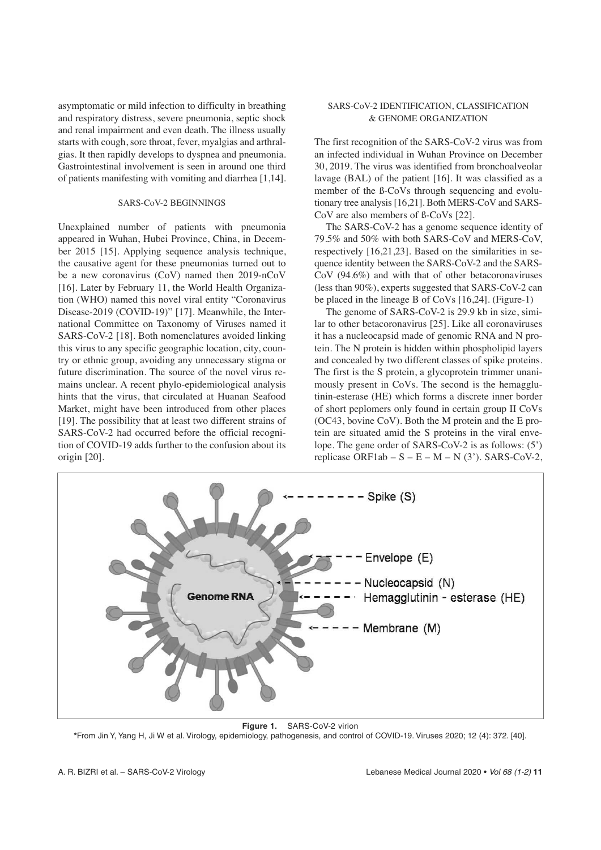asymptomatic or mild infection to difficulty in breathing and respiratory distress, severe pneumonia, septic shock and renal impairment and even death. The illness usually starts with cough, sore throat, fever, myalgias and arthralgias. It then rapidly develops to dyspnea and pneumonia. Gastrointestinal involvement is seen in around one third of patients manifesting with vomiting and diarrhea [1,14].

### SARS-CoV-2 BEGINNINGS

Unexplained number of patients with pneumonia appeared in Wuhan, Hubei Province, China, in December 2015 [15]. Applying sequence analysis technique, the causative agent for these pneumonias turned out to be a new coronavirus (CoV) named then 2019-nCoV [16]. Later by February 11, the World Health Organization (WHO) named this novel viral entity "Coronavirus Disease-2019 (COVID-19)" [17]. Meanwhile, the International Committee on Taxonomy of Viruses named it SARS-CoV-2 [18]. Both nomenclatures avoided linking this virus to any specific geographic location, city, country or ethnic group, avoiding any unnecessary stigma or future discrimination. The source of the novel virus remains unclear. A recent phylo-epidemiological analysis hints that the virus, that circulated at Huanan Seafood Market, might have been introduced from other places [19]. The possibility that at least two different strains of SARS-CoV-2 had occurred before the official recognition of COVID-19 adds further to the confusion about its origin [20].

### SARS-CoV-2 IDENTIFICATION, CLASSIFICATION & GENOME ORGANIZATION

The first recognition of the SARS-CoV-2 virus was from an infected individual in Wuhan Province on December 30, 2019. The virus was identified from bronchoalveolar lavage (BAL) of the patient [16]. It was classified as a member of the ß-CoVs through sequencing and evolutionary tree analysis [16,21]. Both MERS-CoV and SARS-CoV are also members of ß-CoVs [22].

The SARS-CoV-2 has a genome sequence identity of 79.5% and 50% with both SARS-CoV and MERS-CoV, respectively [16,21,23]. Based on the similarities in sequence identity between the SARS-CoV-2 and the SARS-CoV (94.6%) and with that of other betacoronaviruses (less than 90%), experts suggested that SARS-CoV-2 can be placed in the lineage B of CoVs [16,24]. (Figure-1)

The genome of SARS-CoV-2 is 29.9 kb in size, similar to other betacoronavirus [25]. Like all coronaviruses it has a nucleocapsid made of genomic RNA and N protein. The N protein is hidden within phospholipid layers and concealed by two different classes of spike proteins. The first is the S protein, a glycoprotein trimmer unanimously present in CoVs. The second is the hemagglutinin-esterase (HE) which forms a discrete inner border of short peplomers only found in certain group II CoVs (OC43, bovine CoV). Both the M protein and the E protein are situated amid the S proteins in the viral envelope. The gene order of SARS-CoV-2 is as follows: (5') replicase ORF1ab –  $S - E - M - N$  (3'). SARS-CoV-2,



**Figure 1.** SARS-CoV-2 virion

**\***From Jin Y, Yang H, Ji W et al. Virology, epidemiology, pathogenesis, and control of COVID-19. Viruses 2020; 12 (4): 372. [40].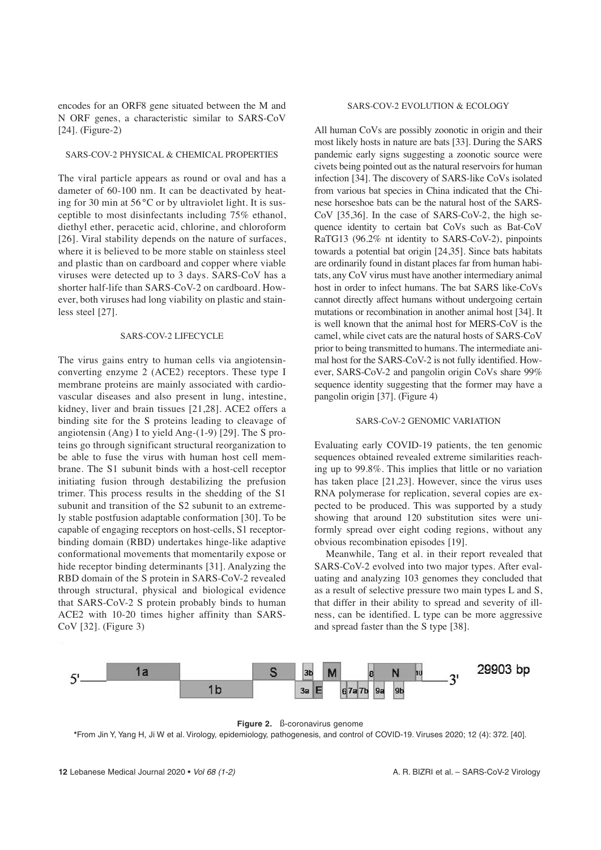encodes for an ORF8 gene situated between the M and N ORF genes, a characteristic similar to SARS-CoV [24]. (Figure-2)

### SARS-COV-2 PHYSICAL & CHEMICAL PROPERTIES

The viral particle appears as round or oval and has a dameter of 60-100 nm. It can be deactivated by heating for 30 min at 56 °C or by ultraviolet light. It is susceptible to most disinfectants including 75% ethanol, diethyl ether, peracetic acid, chlorine, and chloroform [26]. Viral stability depends on the nature of surfaces, where it is believed to be more stable on stainless steel and plastic than on cardboard and copper where viable viruses were detected up to 3 days. SARS-CoV has a shorter half-life than SARS-CoV-2 on cardboard. However, both viruses had long viability on plastic and stainless steel [27].

#### SARS-COV-2 LIFECYCLE

The virus gains entry to human cells via angiotensinconverting enzyme 2 (ACE2) receptors. These type I membrane proteins are mainly associated with cardiovascular diseases and also present in lung, intestine, kidney, liver and brain tissues [21,28]. ACE2 offers a binding site for the S proteins leading to cleavage of angiotensin (Ang) I to yield Ang-(1-9) [29]. The S proteins go through significant structural reorganization to be able to fuse the virus with human host cell membrane. The S1 subunit binds with a host-cell receptor initiating fusion through destabilizing the prefusion trimer. This process results in the shedding of the S1 subunit and transition of the S2 subunit to an extremely stable postfusion adaptable conformation [30]. To be capable of engaging receptors on host-cells, S1 receptorbinding domain (RBD) undertakes hinge-like adaptive conformational movements that momentarily expose or hide receptor binding determinants [31]. Analyzing the RBD domain of the S protein in SARS-CoV-2 revealed through structural, physical and biological evidence that SARS-CoV-2 S protein probably binds to human ACE2 with 10-20 times higher affinity than SARS-CoV [32]. (Figure 3)

# SARS-COV-2 EVOLUTION & ECOLOGY

All human CoVs are possibly zoonotic in origin and their most likely hosts in nature are bats [33]. During the SARS pandemic early signs suggesting a zoonotic source were civets being pointed out as the natural reservoirs for human infection [34]. The discovery of SARS-like CoVs isolated from various bat species in China indicated that the Chinese horseshoe bats can be the natural host of the SARS-CoV [35,36]. In the case of SARS-CoV-2, the high sequence identity to certain bat CoVs such as Bat-CoV RaTG13 (96.2% nt identity to SARS-CoV-2), pinpoints towards a potential bat origin [24,35]. Since bats habitats are ordinarily found in distant places far from human habitats, any CoV virus must have another intermediary animal host in order to infect humans. The bat SARS like-CoVs cannot directly affect humans without undergoing certain mutations or recombination in another animal host [34]. It is well known that the animal host for MERS-CoV is the camel, while civet cats are the natural hosts of SARS-CoV prior to being transmitted to humans. The intermediate animal host for the SARS-CoV-2 is not fully identified. However, SARS-CoV-2 and pangolin origin CoVs share 99% sequence identity suggesting that the former may have a pangolin origin [37]. (Figure 4)

### SARS-CoV-2 GENOMIC VARIATION

Evaluating early COVID-19 patients, the ten genomic sequences obtained revealed extreme similarities reaching up to 99.8%. This implies that little or no variation has taken place [21,23]. However, since the virus uses RNA polymerase for replication, several copies are expected to be produced. This was supported by a study showing that around 120 substitution sites were uniformly spread over eight coding regions, without any obvious recombination episodes [19].

Meanwhile, Tang et al. in their report revealed that SARS-CoV-2 evolved into two major types. After evaluating and analyzing 103 genomes they concluded that as a result of selective pressure two main types L and S, that differ in their ability to spread and severity of illness, can be identified. L type can be more aggressive and spread faster than the S type [38].



**Figure 2.** ß-coronavirus genome

**\***From Jin Y, Yang H, Ji W et al. Virology, epidemiology, pathogenesis, and control of COVID-19. Viruses 2020; 12 (4): 372. [40].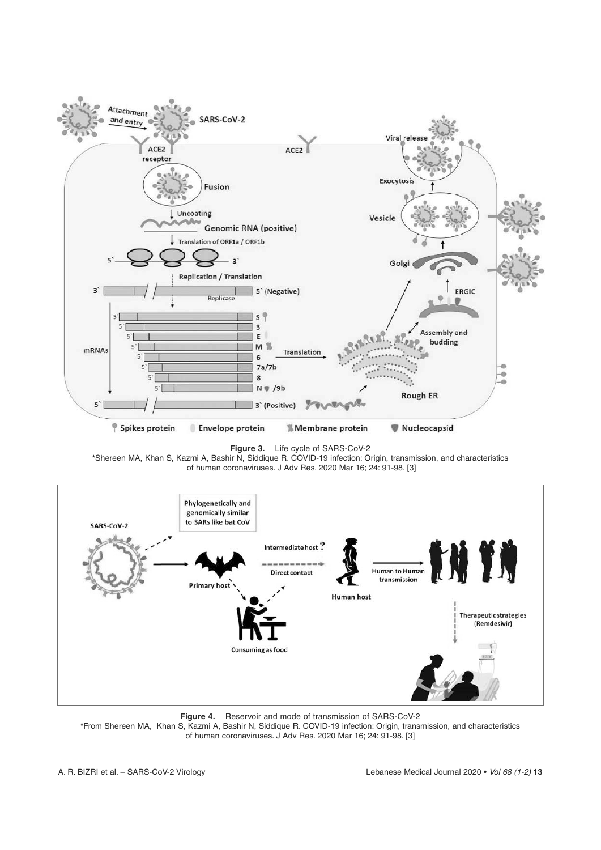

**Figure 3.** Life cycle of SARS-CoV-2

**\***Shereen MA, Khan S, Kazmi A, Bashir N, Siddique R. COVID-19 infection: Origin, transmission, and characteristics of human coronaviruses. J Adv Res. 2020 Mar 16; 24: 91-98. [3]



**Figure 4.** Reservoir and mode of transmission of SARS-CoV-2 **\***From Shereen MA, Khan S, Kazmi A, Bashir N, Siddique R. COVID-19 infection: Origin, transmission, and characteristics of human coronaviruses. J Adv Res. 2020 Mar 16; 24: 91-98. [3]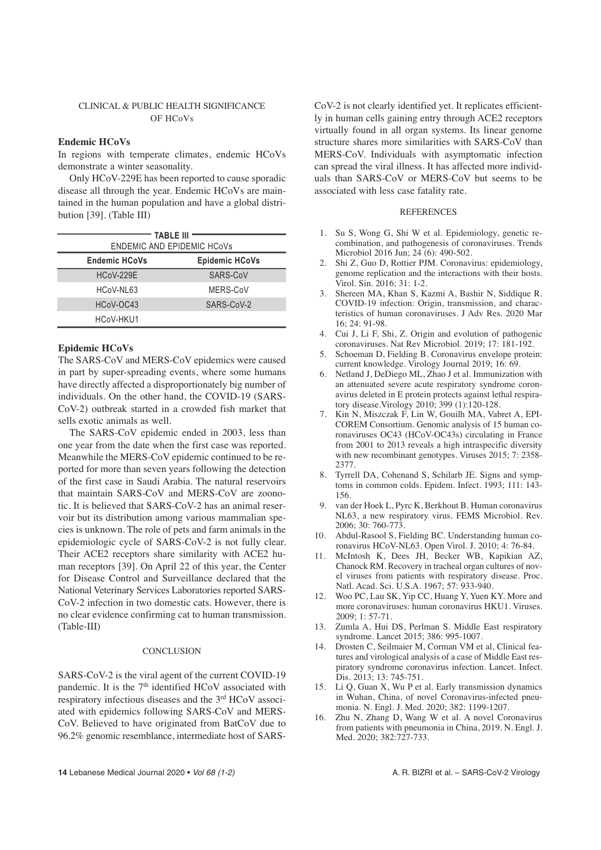# CLINICAL & PUBLIC HEALTH SIGNIFICANCE OF HCoVs

### **Endemic HCoVs**

In regions with temperate climates, endemic HCoVs demonstrate a winter seasonality.

Only HCoV-229E has been reported to cause sporadic disease all through the year. Endemic HCoVs are maintained in the human population and have a global distribution [39]. (Table III)

| TABLE III<br>ENDEMIC AND EPIDEMIC HCoVs |                       |  |  |
|-----------------------------------------|-----------------------|--|--|
| <b>Endemic HCoVs</b>                    | <b>Epidemic HCoVs</b> |  |  |
| $HCoV-229F$                             | SARS-CoV              |  |  |
| HCoV-NL63                               | MERS-CoV              |  |  |
| HCoV-OC43                               | SARS-CoV-2            |  |  |
| HCoV-HKU1                               |                       |  |  |

### **Epidemic HCoVs**

The SARS-CoV and MERS-CoV epidemics were caused in part by super-spreading events, where some humans have directly affected a disproportionately big number of individuals. On the other hand, the COVID-19 (SARS-CoV-2) outbreak started in a crowded fish market that sells exotic animals as well.

The SARS-CoV epidemic ended in 2003, less than one year from the date when the first case was reported. Meanwhile the MERS-CoV epidemic continued to be reported for more than seven years following the detection of the first case in Saudi Arabia. The natural reservoirs that maintain SARS-CoV and MERS-CoV are zoonotic. It is believed that SARS-CoV-2 has an animal reservoir but its distribution among various mammalian species is unknown. The role of pets and farm animals in the epidemiologic cycle of SARS-CoV-2 is not fully clear. Their ACE2 receptors share similarity with ACE2 human receptors [39]. On April 22 of this year, the Center for Disease Control and Surveillance declared that the National Veterinary Services Laboratories reported SARS-CoV-2 infection in two domestic cats. However, there is no clear evidence confirming cat to human transmission. (Table-III)

#### **CONCLUSION**

SARS-CoV-2 is the viral agent of the current COVID-19 pandemic. It is the  $7<sup>th</sup>$  identified HCoV associated with respiratory infectious diseases and the 3<sup>rd</sup> HCoV associated with epidemics following SARS-CoV and MERS-CoV. Believed to have originated from BatCoV due to 96.2% genomic resemblance, intermediate host of SARS-

CoV-2 is not clearly identified yet. It replicates efficiently in human cells gaining entry through ACE2 receptors virtually found in all organ systems. Its linear genome structure shares more similarities with SARS-CoV than MERS-CoV. Individuals with asymptomatic infection can spread the viral illness. It has affected more individuals than SARS-CoV or MERS-CoV but seems to be associated with less case fatality rate.

#### **REFERENCES**

- 1. Su S, Wong G, Shi W et al. Epidemiology, genetic recombination, and pathogenesis of coronaviruses. Trends Microbiol 2016 Jun: 24 (6): 490-502.
- 2. Shi Z, Guo D, Rottier PJM. Coronavirus: epidemiology, genome replication and the interactions with their hosts. Virol. Sin. 2016; 31: 1-2.
- 3. Shereen MA, Khan S, Kazmi A, Bashir N, Siddique R. COVID-19 infection: Origin, transmission, and characteristics of human coronaviruses. J Adv Res. 2020 Mar 16; 24: 91-98.
- 4. Cui J, Li F, Shi, Z. Origin and evolution of pathogenic coronaviruses. Nat Rev Microbiol. 2019; 17: 181-192.
- 5. Schoeman D, Fielding B. Coronavirus envelope protein: current knowledge. Virology Journal 2019; 16: 69.
- 6. Netland J, DeDiego ML, Zhao J et al. Immunization with an attenuated severe acute respiratory syndrome coronavirus deleted in E protein protects against lethal respiratory disease.Virology 2010; 399 (1):120-128.
- 7. Kin N, Miszczak F, Lin W, Gouilh MA, Vabret A, EPI-COREM Consortium. Genomic analysis of 15 human coronaviruses OC43 (HCoV-OC43s) circulating in France from 2001 to 2013 reveals a high intraspecific diversity with new recombinant genotypes. Viruses 2015; 7: 2358- 2377.
- 8. Tyrrell DA, Cohenand S, Schilarb JE. Signs and symptoms in common colds. Epidem. Infect. 1993; 111: 143- 156.
- 9. van der Hoek L, Pyrc K, Berkhout B. Human coronavirus NL63, a new respiratory virus. FEMS Microbiol. Rev. 2006; 30: 760-773.
- 10. Abdul-Rasool S, Fielding BC. Understanding human coronavirus HCoV-NL63. Open Virol. J. 2010; 4: 76-84.
- 11. McIntosh K, Dees JH, Becker WB, Kapikian AZ, Chanock RM. Recovery in tracheal organ cultures of novel viruses from patients with respiratory disease. Proc. Natl. Acad. Sci. U.S.A. 1967; 57: 933-940.
- 12. Woo PC, Lau SK, Yip CC, Huang Y, Yuen KY. More and more coronaviruses: human coronavirus HKU1. Viruses. 2009; 1: 57-71.
- 13. Zumla A, Hui DS, Perlman S. Middle East respiratory syndrome. Lancet 2015; 386: 995-1007.
- 14. Drosten C, Seilmaier M, Corman VM et al, Clinical features and virological analysis of a case of Middle East respiratory syndrome coronavirus infection. Lancet. Infect. Dis. 2013; 13: 745-751.
- 15. Li Q, Guan X, Wu P et al. Early transmission dynamics in Wuhan, China, of novel Coronavirus-infected pneumonia. N. Engl. J. Med. 2020; 382: 1199-1207.
- 16. Zhu N, Zhang D, Wang W et al. A novel Coronavirus from patients with pneumonia in China, 2019. N. Engl. J. Med. 2020: 382:727-733.

**14** Lebanese Medical Journal 2020 • Vol 68 (1-2) A. R. BIZRI et al. – SARS-CoV-2 Virology